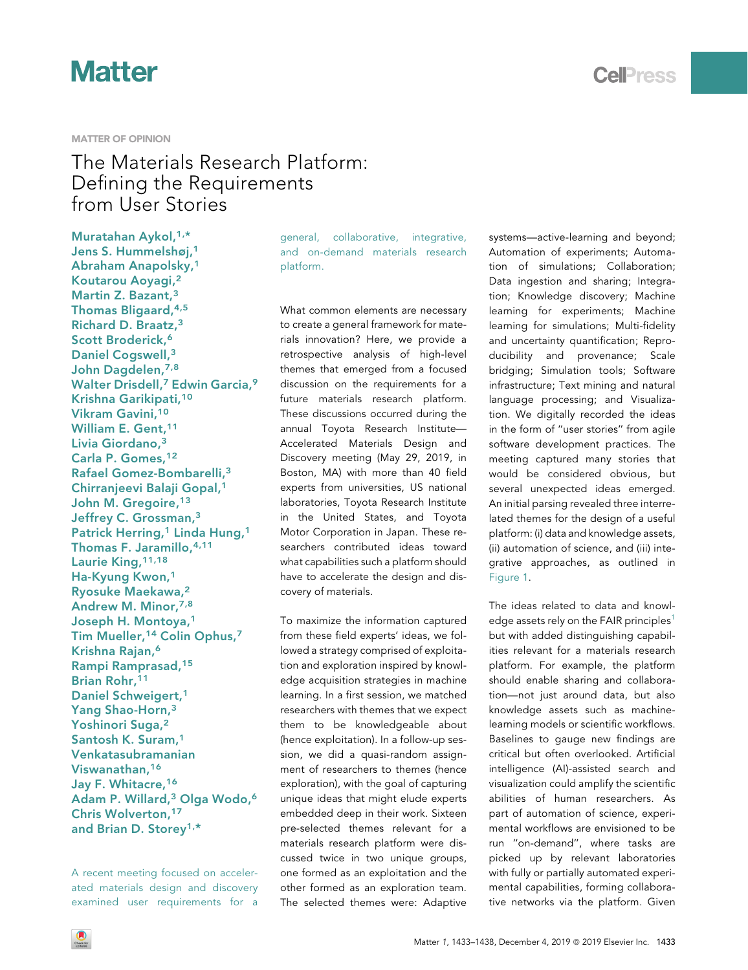#### MATTER OF OPINION

### The Materials Research Platform: Defining the Requirements from User Stories

Muratahan Aykol, [1](#page-4-0)[,\\*](#page-5-0) Jens S. Hummelshøj,[1](#page-4-0) Abraham Anapolsky,[1](#page-4-0) Koutarou Aoyagi,[2](#page-4-1) Martin Z. Bazant, [3](#page-4-2) Thomas Bligaard, [4](#page-4-3)[,5](#page-4-4) Richard D. Braatz,[3](#page-4-2) Scott Broderick,<sup>[6](#page-4-5)</sup> Daniel Cogswell,[3](#page-4-2) John Dagdelen, [7,](#page-4-6)[8](#page-4-7) Walter Drisdell,<sup>[7](#page-4-6)</sup> Edwin Garcia,<sup>[9](#page-4-8)</sup> Krishna Garikipati,[10](#page-5-1) Vikram Gavini,[10](#page-5-1) William E. Gent, [11](#page-5-2) Livia Giordano,[3](#page-4-2) Carla P. Gomes, [12](#page-5-3) Rafael Gomez-Bombarelli,[3](#page-4-2) Chirranjeevi Balaji Gopal,[1](#page-4-0) John M. Gregoire, [13](#page-5-4) Jeffrey C. Grossman,<sup>[3](#page-4-2)</sup> Patrick Herring,<sup>[1](#page-4-0)</sup> Linda Hung,<sup>1</sup> Thomas F. Jaramillo,[4](#page-4-3),[11](#page-5-2) Laurie King, [11](#page-5-2)[,18](#page-5-5) Ha-Kyung Kwon,[1](#page-4-0) Ryosuke Maekawa,[2](#page-4-1) Andrew M. Minor, [7](#page-4-6)[,8](#page-4-7) Joseph H. Montoya,[1](#page-4-0) Tim Mueller,[14](#page-5-6) Colin Ophus,[7](#page-4-6) Krishna Rajan,[6](#page-4-5) Rampi Ramprasad,[15](#page-5-7) Brian Rohr, [11](#page-5-2) Daniel Schweigert,<sup>[1](#page-4-0)</sup> Yang Shao-Horn,[3](#page-4-2) Yoshinori Suga,<sup>[2](#page-4-1)</sup> Santosh K. Suram,[1](#page-4-0) Venkatasubramanian Viswanathan,[16](#page-5-8) Jay F. Whitacre,[16](#page-5-8) Adam P. Willard,<sup>[3](#page-4-2)</sup> Olga Wodo,<sup>[6](#page-4-5)</sup> Chris Wolverton,[17](#page-5-9) and Brian D. Storey<sup>[1](#page-4-0),\*</sup>

A recent meeting focused on accelerated materials design and discovery examined user requirements for a general, collaborative, integrative, and on-demand materials research platform.

What common elements are necessary to create a general framework for materials innovation? Here, we provide a retrospective analysis of high-level themes that emerged from a focused discussion on the requirements for a future materials research platform. These discussions occurred during the annual Toyota Research Institute— Accelerated Materials Design and Discovery meeting (May 29, 2019, in Boston, MA) with more than 40 field experts from universities, US national laboratories, Toyota Research Institute in the United States, and Toyota Motor Corporation in Japan. These researchers contributed ideas toward what capabilities such a platform should have to accelerate the design and discovery of materials.

To maximize the information captured from these field experts' ideas, we followed a strategy comprised of exploitation and exploration inspired by knowledge acquisition strategies in machine learning. In a first session, we matched researchers with themes that we expect them to be knowledgeable about (hence exploitation). In a follow-up session, we did a quasi-random assignment of researchers to themes (hence exploration), with the goal of capturing unique ideas that might elude experts embedded deep in their work. Sixteen pre-selected themes relevant for a materials research platform were discussed twice in two unique groups, one formed as an exploitation and the other formed as an exploration team. The selected themes were: Adaptive

systems—active-learning and beyond; Automation of experiments; Automation of simulations; Collaboration; Data ingestion and sharing; Integration; Knowledge discovery; Machine learning for experiments; Machine learning for simulations; Multi-fidelity and uncertainty quantification; Reproducibility and provenance; Scale bridging; Simulation tools; Software infrastructure; Text mining and natural language processing; and Visualization. We digitally recorded the ideas in the form of ''user stories'' from agile software development practices. The meeting captured many stories that would be considered obvious, but several unexpected ideas emerged. An initial parsing revealed three interrelated themes for the design of a useful platform: (i) data and knowledge assets, (ii) automation of science, and (iii) integrative approaches, as outlined in [Figure 1](#page-1-0).

The ideas related to data and knowl-edge assets rely on the FAIR principles<sup>[1](#page-4-9)</sup> but with added distinguishing capabilities relevant for a materials research platform. For example, the platform should enable sharing and collaboration—not just around data, but also knowledge assets such as machinelearning models or scientific workflows. Baselines to gauge new findings are critical but often overlooked. Artificial intelligence (AI)-assisted search and visualization could amplify the scientific abilities of human researchers. As part of automation of science, experimental workflows are envisioned to be run ''on-demand'', where tasks are picked up by relevant laboratories with fully or partially automated experimental capabilities, forming collaborative networks via the platform. Given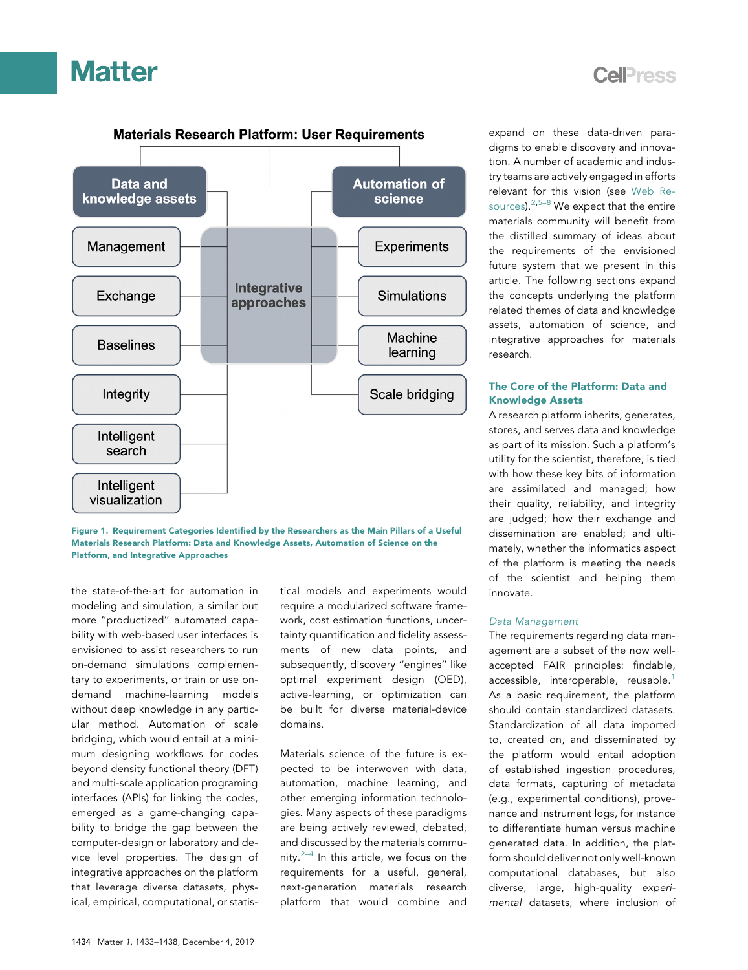

### **Cell**<sub>ress</sub>

<span id="page-1-0"></span>

Figure 1. Requirement Categories Identified by the Researchers as the Main Pillars of a Useful Materials Research Platform: Data and Knowledge Assets, Automation of Science on the Platform, and Integrative Approaches

the state-of-the-art for automation in modeling and simulation, a similar but more ''productized'' automated capability with web-based user interfaces is envisioned to assist researchers to run on-demand simulations complementary to experiments, or train or use ondemand machine-learning models without deep knowledge in any particular method. Automation of scale bridging, which would entail at a minimum designing workflows for codes beyond density functional theory (DFT) and multi-scale application programing interfaces (APIs) for linking the codes, emerged as a game-changing capability to bridge the gap between the computer-design or laboratory and device level properties. The design of integrative approaches on the platform that leverage diverse datasets, physical, empirical, computational, or statistical models and experiments would require a modularized software framework, cost estimation functions, uncertainty quantification and fidelity assessments of new data points, and subsequently, discovery ''engines'' like optimal experiment design (OED), active-learning, or optimization can be built for diverse material-device domains.

Materials science of the future is expected to be interwoven with data, automation, machine learning, and other emerging information technologies. Many aspects of these paradigms are being actively reviewed, debated, and discussed by the materials community. $2-4$  In this article, we focus on the requirements for a useful, general, next-generation materials research platform that would combine and

expand on these data-driven paradigms to enable discovery and innovation. A number of academic and industry teams are actively engaged in efforts relevant for this vision (see Web Resources).  $2,5-8$  $2,5-8$  We expect that the entire materials community will benefit from the distilled summary of ideas about the requirements of the envisioned future system that we present in this article. The following sections expand the concepts underlying the platform related themes of data and knowledge assets, automation of science, and integrative approaches for materials research.

### The Core of the Platform: Data and Knowledge Assets

A research platform inherits, generates, stores, and serves data and knowledge as part of its mission. Such a platform's utility for the scientist, therefore, is tied with how these key bits of information are assimilated and managed; how their quality, reliability, and integrity are judged; how their exchange and dissemination are enabled; and ultimately, whether the informatics aspect of the platform is meeting the needs of the scientist and helping them innovate.

### Data Management

The requirements regarding data management are a subset of the now wellaccepted FAIR principles: findable, accessible, interoperable, reusable.<sup>[1](#page-4-9)</sup> As a basic requirement, the platform should contain standardized datasets. Standardization of all data imported to, created on, and disseminated by the platform would entail adoption of established ingestion procedures, data formats, capturing of metadata (e.g., experimental conditions), provenance and instrument logs, for instance to differentiate human versus machine generated data. In addition, the platform should deliver not only well-known computational databases, but also diverse, large, high-quality experimental datasets, where inclusion of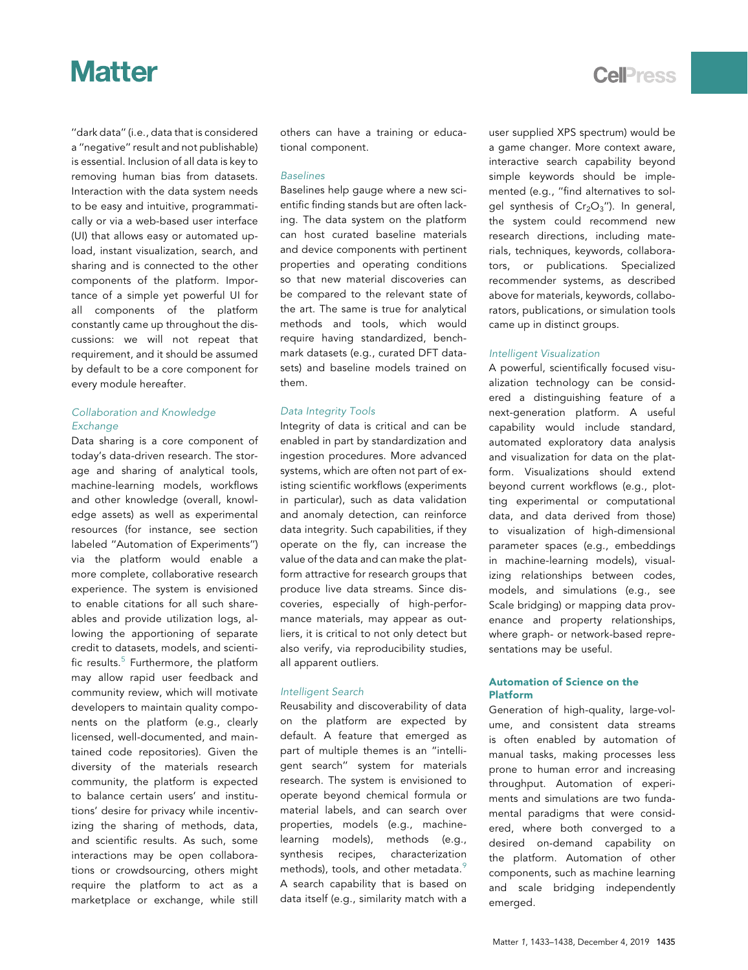''dark data'' (i.e., data that is considered a ''negative'' result and not publishable) is essential. Inclusion of all data is key to removing human bias from datasets. Interaction with the data system needs to be easy and intuitive, programmatically or via a web-based user interface (UI) that allows easy or automated upload, instant visualization, search, and sharing and is connected to the other components of the platform. Importance of a simple yet powerful UI for all components of the platform constantly came up throughout the discussions: we will not repeat that requirement, and it should be assumed by default to be a core component for every module hereafter.

### Collaboration and Knowledge **Exchange**

Data sharing is a core component of today's data-driven research. The storage and sharing of analytical tools, machine-learning models, workflows and other knowledge (overall, knowledge assets) as well as experimental resources (for instance, see section labeled ''Automation of Experiments'') via the platform would enable a more complete, collaborative research experience. The system is envisioned to enable citations for all such shareables and provide utilization logs, allowing the apportioning of separate credit to datasets, models, and scientific results. $5$  Furthermore, the platform may allow rapid user feedback and community review, which will motivate developers to maintain quality components on the platform (e.g., clearly licensed, well-documented, and maintained code repositories). Given the diversity of the materials research community, the platform is expected to balance certain users' and institutions' desire for privacy while incentivizing the sharing of methods, data, and scientific results. As such, some interactions may be open collaborations or crowdsourcing, others might require the platform to act as a marketplace or exchange, while still

others can have a training or educational component.

### Baselines

Baselines help gauge where a new scientific finding stands but are often lacking. The data system on the platform can host curated baseline materials and device components with pertinent properties and operating conditions so that new material discoveries can be compared to the relevant state of the art. The same is true for analytical methods and tools, which would require having standardized, benchmark datasets (e.g., curated DFT datasets) and baseline models trained on them.

### Data Integrity Tools

Integrity of data is critical and can be enabled in part by standardization and ingestion procedures. More advanced systems, which are often not part of existing scientific workflows (experiments in particular), such as data validation and anomaly detection, can reinforce data integrity. Such capabilities, if they operate on the fly, can increase the value of the data and can make the platform attractive for research groups that produce live data streams. Since discoveries, especially of high-performance materials, may appear as outliers, it is critical to not only detect but also verify, via reproducibility studies, all apparent outliers.

#### Intelligent Search

Reusability and discoverability of data on the platform are expected by default. A feature that emerged as part of multiple themes is an ''intelligent search'' system for materials research. The system is envisioned to operate beyond chemical formula or material labels, and can search over properties, models (e.g., machinelearning models), methods (e.g., synthesis recipes, characterization methods), tools, and other metadata.<sup>[9](#page-4-12)</sup> A search capability that is based on data itself (e.g., similarity match with a user supplied XPS spectrum) would be a game changer. More context aware, interactive search capability beyond simple keywords should be implemented (e.g., "find alternatives to solgel synthesis of  $Cr_2O_3$ "). In general, the system could recommend new research directions, including materials, techniques, keywords, collaborators, or publications. Specialized recommender systems, as described above for materials, keywords, collaborators, publications, or simulation tools came up in distinct groups.

### Intelligent Visualization

A powerful, scientifically focused visualization technology can be considered a distinguishing feature of a next-generation platform. A useful capability would include standard, automated exploratory data analysis and visualization for data on the platform. Visualizations should extend beyond current workflows (e.g., plotting experimental or computational data, and data derived from those) to visualization of high-dimensional parameter spaces (e.g., embeddings in machine-learning models), visualizing relationships between codes, models, and simulations (e.g., see Scale bridging) or mapping data provenance and property relationships, where graph- or network-based representations may be useful.

### Automation of Science on the Platform

Generation of high-quality, large-volume, and consistent data streams is often enabled by automation of manual tasks, making processes less prone to human error and increasing throughput. Automation of experiments and simulations are two fundamental paradigms that were considered, where both converged to a desired on-demand capability on the platform. Automation of other components, such as machine learning and scale bridging independently emerged.

### **Cell**<sup>ress</sup>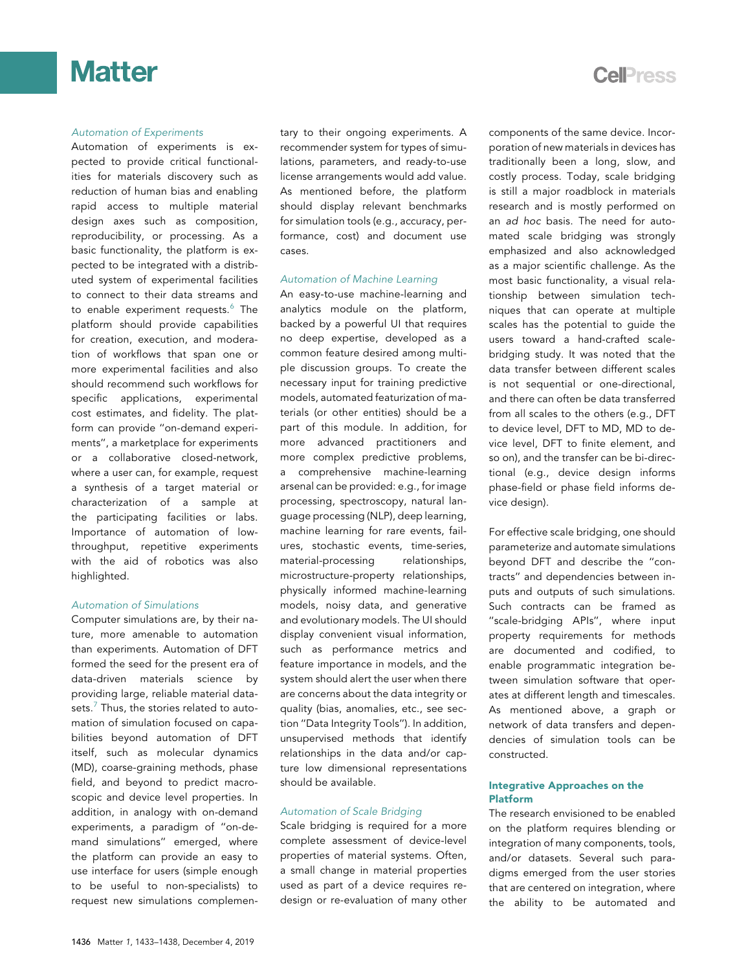

#### Automation of Experiments

Automation of experiments is expected to provide critical functionalities for materials discovery such as reduction of human bias and enabling rapid access to multiple material design axes such as composition, reproducibility, or processing. As a basic functionality, the platform is expected to be integrated with a distributed system of experimental facilities to connect to their data streams and to enable experiment requests.<sup>[6](#page-4-13)</sup> The platform should provide capabilities for creation, execution, and moderation of workflows that span one or more experimental facilities and also should recommend such workflows for specific applications, experimental cost estimates, and fidelity. The platform can provide ''on-demand experiments'', a marketplace for experiments or a collaborative closed-network, where a user can, for example, request a synthesis of a target material or characterization of a sample at the participating facilities or labs. Importance of automation of lowthroughput, repetitive experiments with the aid of robotics was also highlighted.

### Automation of Simulations

Computer simulations are, by their nature, more amenable to automation than experiments. Automation of DFT formed the seed for the present era of data-driven materials science by providing large, reliable material data-sets.<sup>[7](#page-4-14)</sup> Thus, the stories related to automation of simulation focused on capabilities beyond automation of DFT itself, such as molecular dynamics (MD), coarse-graining methods, phase field, and beyond to predict macroscopic and device level properties. In addition, in analogy with on-demand experiments, a paradigm of ''on-demand simulations'' emerged, where the platform can provide an easy to use interface for users (simple enough to be useful to non-specialists) to request new simulations complementary to their ongoing experiments. A recommender system for types of simulations, parameters, and ready-to-use license arrangements would add value. As mentioned before, the platform should display relevant benchmarks for simulation tools (e.g., accuracy, performance, cost) and document use cases.

### Automation of Machine Learning

An easy-to-use machine-learning and analytics module on the platform, backed by a powerful UI that requires no deep expertise, developed as a common feature desired among multiple discussion groups. To create the necessary input for training predictive models, automated featurization of materials (or other entities) should be a part of this module. In addition, for more advanced practitioners and more complex predictive problems, a comprehensive machine-learning arsenal can be provided: e.g., for image processing, spectroscopy, natural language processing (NLP), deep learning, machine learning for rare events, failures, stochastic events, time-series, material-processing relationships, microstructure-property relationships, physically informed machine-learning models, noisy data, and generative and evolutionary models. The UI should display convenient visual information, such as performance metrics and feature importance in models, and the system should alert the user when there are concerns about the data integrity or quality (bias, anomalies, etc., see section ''Data Integrity Tools''). In addition, unsupervised methods that identify relationships in the data and/or capture low dimensional representations should be available.

#### Automation of Scale Bridging

Scale bridging is required for a more complete assessment of device-level properties of material systems. Often, a small change in material properties used as part of a device requires redesign or re-evaluation of many other

### **CelPress**

components of the same device. Incorporation of new materials in devices has traditionally been a long, slow, and costly process. Today, scale bridging is still a major roadblock in materials research and is mostly performed on an ad hoc basis. The need for automated scale bridging was strongly emphasized and also acknowledged as a major scientific challenge. As the most basic functionality, a visual relationship between simulation techniques that can operate at multiple scales has the potential to guide the users toward a hand-crafted scalebridging study. It was noted that the data transfer between different scales is not sequential or one-directional, and there can often be data transferred from all scales to the others (e.g., DFT to device level, DFT to MD, MD to device level, DFT to finite element, and so on), and the transfer can be bi-directional (e.g., device design informs phase-field or phase field informs device design).

For effective scale bridging, one should parameterize and automate simulations beyond DFT and describe the ''contracts'' and dependencies between inputs and outputs of such simulations. Such contracts can be framed as ''scale-bridging APIs'', where input property requirements for methods are documented and codified, to enable programmatic integration between simulation software that operates at different length and timescales. As mentioned above, a graph or network of data transfers and dependencies of simulation tools can be constructed.

### Integrative Approaches on the Platform

The research envisioned to be enabled on the platform requires blending or integration of many components, tools, and/or datasets. Several such paradigms emerged from the user stories that are centered on integration, where the ability to be automated and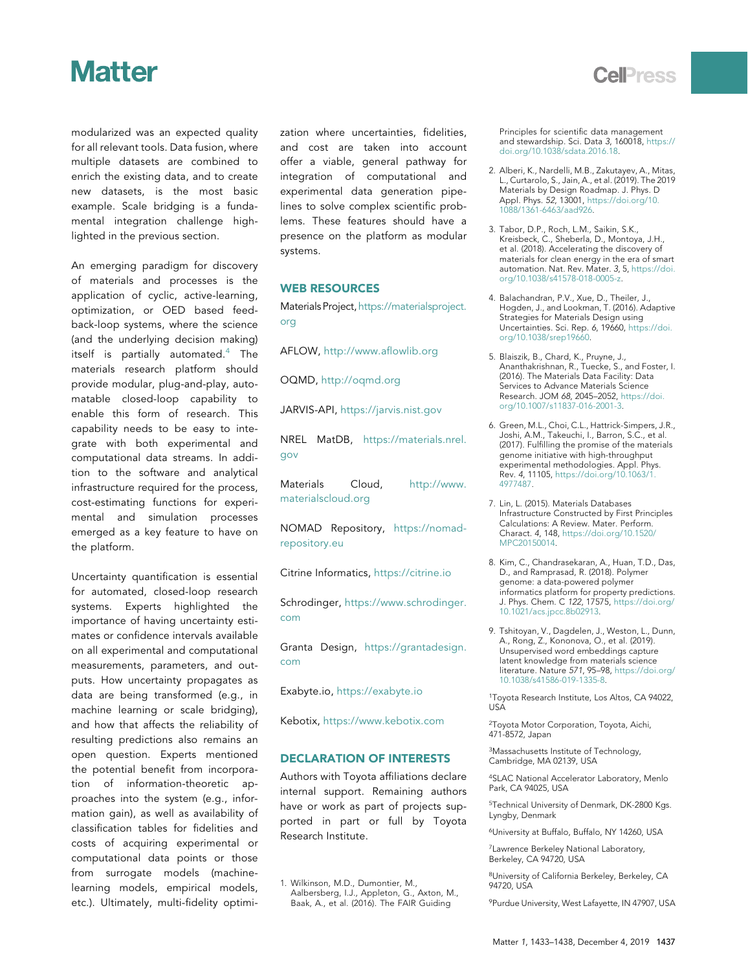modularized was an expected quality for all relevant tools. Data fusion, where multiple datasets are combined to enrich the existing data, and to create new datasets, is the most basic example. Scale bridging is a fundamental integration challenge highlighted in the previous section.

An emerging paradigm for discovery of materials and processes is the application of cyclic, active-learning, optimization, or OED based feedback-loop systems, where the science (and the underlying decision making) itself is partially automated. $4$  The materials research platform should provide modular, plug-and-play, automatable closed-loop capability to enable this form of research. This capability needs to be easy to integrate with both experimental and computational data streams. In addition to the software and analytical infrastructure required for the process, cost-estimating functions for experimental and simulation processes emerged as a key feature to have on the platform.

Uncertainty quantification is essential for automated, closed-loop research systems. Experts highlighted the importance of having uncertainty estimates or confidence intervals available on all experimental and computational measurements, parameters, and outputs. How uncertainty propagates as data are being transformed (e.g., in machine learning or scale bridging), and how that affects the reliability of resulting predictions also remains an open question. Experts mentioned the potential benefit from incorporation of information-theoretic approaches into the system (e.g., information gain), as well as availability of classification tables for fidelities and costs of acquiring experimental or computational data points or those from surrogate models (machinelearning models, empirical models, etc.). Ultimately, multi-fidelity optimization where uncertainties, fidelities, and cost are taken into account offer a viable, general pathway for integration of computational and experimental data generation pipelines to solve complex scientific problems. These features should have a presence on the platform as modular systems.

### WEB RESOURCES

Materials Project, [https://materialsproject.](https://materialsproject.org) [org](https://materialsproject.org)

AFLOW, <http://www.aflowlib.org>

OQMD, <http://oqmd.org>

JARVIS-API, <https://jarvis.nist.gov>

NREL MatDB, [https://materials.nrel.](https://materials.nrel.gov) [gov](https://materials.nrel.gov)

Materials Cloud, [http://www.](http://www.materialscloud.org) [materialscloud.org](http://www.materialscloud.org)

NOMAD Repository, [https://nomad](https://nomad-repository.eu)[repository.eu](https://nomad-repository.eu)

Citrine Informatics, <https://citrine.io>

Schrodinger, [https://www.schrodinger.](https://www.schrodinger.com) [com](https://www.schrodinger.com)

Granta Design, [https://grantadesign.](https://grantadesign.com) [com](https://grantadesign.com)

Exabyte.io, <https://exabyte.io>

Kebotix, <https://www.kebotix.com>

### DECLARATION OF INTERESTS

Authors with Toyota affiliations declare internal support. Remaining authors have or work as part of projects supported in part or full by Toyota Research Institute.

<span id="page-4-9"></span>1. Wilkinson, M.D., Dumontier, M., Aalbersberg, I.J., Appleton, G., Axton, M., Baak, A., et al. (2016). The FAIR Guiding Principles for scientific data management and stewardship. Sci. Data 3, 160018, [https://](https://doi.org/10.1038/sdata.2016.18) [doi.org/10.1038/sdata.2016.18.](https://doi.org/10.1038/sdata.2016.18)

- <span id="page-4-10"></span>2. Alberi, K., Nardelli, M.B., Zakutayev, A., Mitas, L., Curtarolo, S., Jain, A., et al. (2019). The 2019 Materials by Design Roadmap. J. Phys. D Appl. Phys. 52, 13001, [https://doi.org/10.](https://doi.org/10.1088/1361-6463/aad926) [1088/1361-6463/aad926.](https://doi.org/10.1088/1361-6463/aad926)
- 3. Tabor, D.P., Roch, L.M., Saikin, S.K., Kreisbeck, C., Sheberla, D., Montoya, J.H., et al. (2018). Accelerating the discovery of materials for clean energy in the era of smart automation. Nat. Rev. Mater. 3, 5, [https://doi.](https://doi.org/10.1038/s41578-018-0005-z) [org/10.1038/s41578-018-0005-z.](https://doi.org/10.1038/s41578-018-0005-z)
- <span id="page-4-15"></span>4. Balachandran, P.V., Xue, D., Theiler, J., Hogden, J., and Lookman, T. (2016). Adaptive Strategies for Materials Design using Uncertainties. Sci. Rep. 6, 19660, [https://doi.](https://doi.org/10.1038/srep19660) [org/10.1038/srep19660](https://doi.org/10.1038/srep19660).
- <span id="page-4-11"></span>5. Blaiszik, B., Chard, K., Pruyne, J., Ananthakrishnan, R., Tuecke, S., and Foster, I. (2016). The Materials Data Facility: Data Services to Advance Materials Science Research. JOM 68, 2045–2052, [https://doi.](https://doi.org/10.1007/s11837-016-2001-3) [org/10.1007/s11837-016-2001-3.](https://doi.org/10.1007/s11837-016-2001-3)
- <span id="page-4-13"></span>6. Green, M.L., Choi, C.L., Hattrick-Simpers, J.R., Joshi, A.M., Takeuchi, I., Barron, S.C., et al. (2017). Fulfilling the promise of the materials genome initiative with high-throughput experimental methodologies. Appl. Phys. Rev. 4, 11105, [https://doi.org/10.1063/1.](https://doi.org/10.1063/1.4977487) [4977487.](https://doi.org/10.1063/1.4977487)
- <span id="page-4-14"></span>7. Lin, L. (2015). Materials Databases Infrastructure Constructed by First Principles Calculations: A Review. Mater. Perform. Charact. 4, 148, [https://doi.org/10.1520/](https://doi.org/10.1520/MPC20150014) [MPC20150014.](https://doi.org/10.1520/MPC20150014)
- 8. Kim, C., Chandrasekaran, A., Huan, T.D., Das, D., and Ramprasad, R. (2018). Polymer genome: a data-powered polymer informatics platform for property predictions. J. Phys. Chem. C 122, 17575, [https://doi.org/](https://doi.org/10.1021/acs.jpcc.8b02913) [10.1021/acs.jpcc.8b02913.](https://doi.org/10.1021/acs.jpcc.8b02913)
- <span id="page-4-12"></span>9. Tshitoyan, V., Dagdelen, J., Weston, L., Dunn, A., Rong, Z., Kononova, O., et al. (2019). Unsupervised word embeddings capture latent knowledge from materials science literature. Nature 571, 95–98, [https://doi.org/](https://doi.org/10.1038/s41586-019-1335-8) [10.1038/s41586-019-1335-8.](https://doi.org/10.1038/s41586-019-1335-8)

<span id="page-4-1"></span><span id="page-4-0"></span>1Toyota Research Institute, Los Altos, CA 94022, USA

<span id="page-4-2"></span>2Toyota Motor Corporation, Toyota, Aichi, 471-8572, Japan

<span id="page-4-3"></span>3Massachusetts Institute of Technology, Cambridge, MA 02139, USA

<span id="page-4-4"></span>4SLAC National Accelerator Laboratory, Menlo Park, CA 94025, USA

<span id="page-4-5"></span>5Technical University of Denmark, DK-2800 Kgs. Lyngby, Denmark

<span id="page-4-6"></span>6University at Buffalo, Buffalo, NY 14260, USA

<span id="page-4-7"></span>7Lawrence Berkeley National Laboratory, Berkeley, CA 94720, USA

<span id="page-4-8"></span>8University of California Berkeley, Berkeley, CA 94720, USA

9Purdue University, West Lafayette, IN 47907, USA